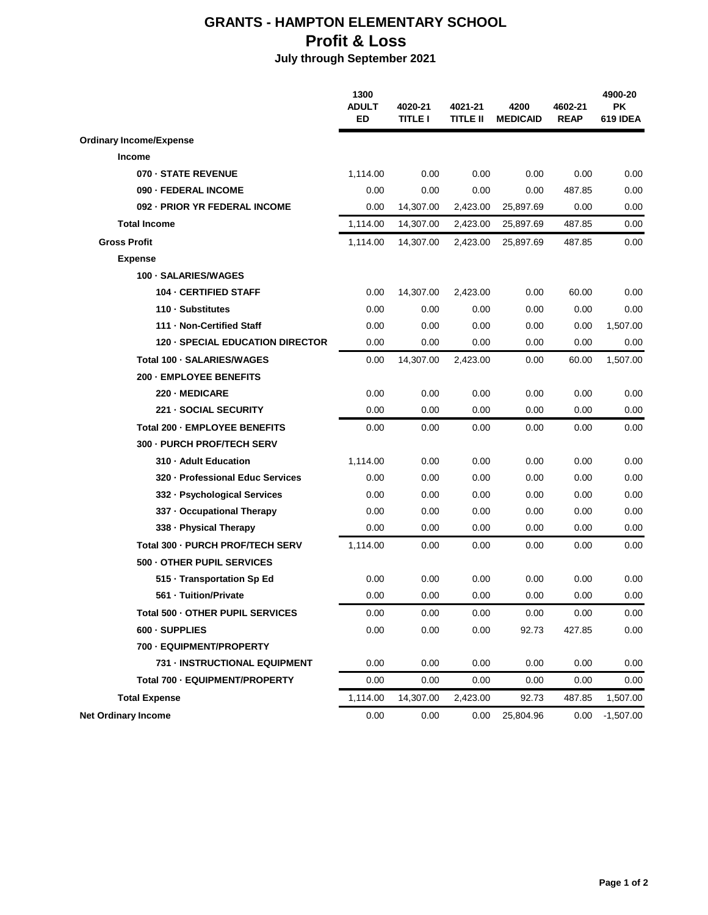## **GRANTS - HAMPTON ELEMENTARY SCHOOL Profit & Loss**

## **July through September 2021**

|                                         | 1300<br><b>ADULT</b><br><b>ED</b> | 4020-21<br><b>TITLE I</b> | 4021-21<br>TITLE II | 4200<br><b>MEDICAID</b> | 4602-21<br><b>REAP</b> | 4900-20<br><b>PK</b><br>619 IDEA |
|-----------------------------------------|-----------------------------------|---------------------------|---------------------|-------------------------|------------------------|----------------------------------|
| <b>Ordinary Income/Expense</b>          |                                   |                           |                     |                         |                        |                                  |
| <b>Income</b>                           |                                   |                           |                     |                         |                        |                                  |
| 070 - STATE REVENUE                     | 1,114.00                          | 0.00                      | 0.00                | 0.00                    | 0.00                   | 0.00                             |
| 090 - FEDERAL INCOME                    | 0.00                              | 0.00                      | 0.00                | 0.00                    | 487.85                 | 0.00                             |
| 092 - PRIOR YR FEDERAL INCOME           | 0.00                              | 14,307.00                 | 2,423.00            | 25,897.69               | 0.00                   | 0.00                             |
| <b>Total Income</b>                     | 1,114.00                          | 14,307.00                 | 2,423.00            | 25,897.69               | 487.85                 | 0.00                             |
| <b>Gross Profit</b>                     | 1,114.00                          | 14,307.00                 | 2,423.00            | 25,897.69               | 487.85                 | 0.00                             |
| <b>Expense</b>                          |                                   |                           |                     |                         |                        |                                  |
| 100 · SALARIES/WAGES                    |                                   |                           |                     |                         |                        |                                  |
| 104 - CERTIFIED STAFF                   | 0.00                              | 14,307.00                 | 2,423.00            | 0.00                    | 60.00                  | 0.00                             |
| 110 · Substitutes                       | 0.00                              | 0.00                      | 0.00                | 0.00                    | 0.00                   | 0.00                             |
| 111 - Non-Certified Staff               | 0.00                              | 0.00                      | 0.00                | 0.00                    | 0.00                   | 1,507.00                         |
| <b>120 - SPECIAL EDUCATION DIRECTOR</b> | 0.00                              | 0.00                      | 0.00                | 0.00                    | 0.00                   | 0.00                             |
| Total 100 - SALARIES/WAGES              | 0.00                              | 14,307.00                 | 2,423.00            | 0.00                    | 60.00                  | 1,507.00                         |
| 200 - EMPLOYEE BENEFITS                 |                                   |                           |                     |                         |                        |                                  |
| 220 - MEDICARE                          | 0.00                              | 0.00                      | 0.00                | 0.00                    | 0.00                   | 0.00                             |
| 221 - SOCIAL SECURITY                   | 0.00                              | 0.00                      | 0.00                | 0.00                    | 0.00                   | 0.00                             |
| Total 200 - EMPLOYEE BENEFITS           | 0.00                              | 0.00                      | 0.00                | 0.00                    | 0.00                   | 0.00                             |
| 300 - PURCH PROF/TECH SERV              |                                   |                           |                     |                         |                        |                                  |
| 310 - Adult Education                   | 1,114.00                          | 0.00                      | 0.00                | 0.00                    | 0.00                   | 0.00                             |
| 320 - Professional Educ Services        | 0.00                              | 0.00                      | 0.00                | 0.00                    | 0.00                   | 0.00                             |
| 332 - Psychological Services            | 0.00                              | 0.00                      | 0.00                | 0.00                    | 0.00                   | 0.00                             |
| 337 - Occupational Therapy              | 0.00                              | 0.00                      | 0.00                | 0.00                    | 0.00                   | 0.00                             |
| 338 - Physical Therapy                  | 0.00                              | 0.00                      | 0.00                | 0.00                    | 0.00                   | 0.00                             |
| Total 300 - PURCH PROF/TECH SERV        | 1,114.00                          | 0.00                      | 0.00                | 0.00                    | 0.00                   | 0.00                             |
| 500 - OTHER PUPIL SERVICES              |                                   |                           |                     |                         |                        |                                  |
| 515 · Transportation Sp Ed              | 0.00                              | 0.00                      | 0.00                | 0.00                    | 0.00                   | 0.00                             |
| 561 - Tuition/Private                   | 0.00                              | 0.00                      | 0.00                | 0.00                    | 0.00                   | 0.00                             |
| Total 500 - OTHER PUPIL SERVICES        | 0.00                              | 0.00                      | 0.00                | 0.00                    | 0.00                   | 0.00                             |
| 600 - SUPPLIES                          | 0.00                              | 0.00                      | 0.00                | 92.73                   | 427.85                 | 0.00                             |
| 700 - EQUIPMENT/PROPERTY                |                                   |                           |                     |                         |                        |                                  |
| 731 - INSTRUCTIONAL EQUIPMENT           | 0.00                              | 0.00                      | 0.00                | 0.00                    | 0.00                   | 0.00                             |
| Total 700 - EQUIPMENT/PROPERTY          | 0.00                              | 0.00                      | 0.00                | 0.00                    | 0.00                   | 0.00                             |
| <b>Total Expense</b>                    | 1,114.00                          | 14,307.00                 | 2,423.00            | 92.73                   | 487.85                 | 1,507.00                         |
| <b>Net Ordinary Income</b>              | 0.00                              | 0.00                      | 0.00                | 25,804.96               | 0.00                   | $-1,507.00$                      |